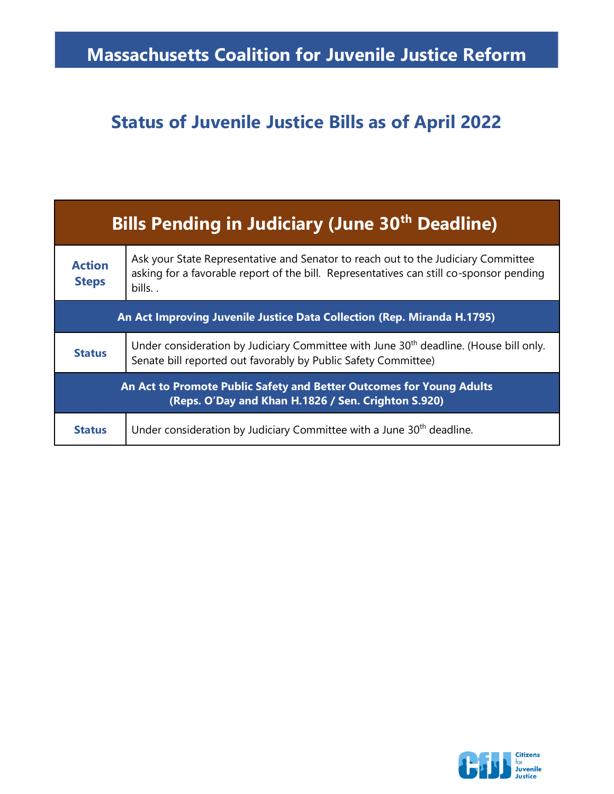## **Massachusetts Coalition for Juvenile Justice Reform**

## **Status of Juvenile Justice Bills as of April 2022**

| <b>Bills Pending in Judiciary (June 30<sup>th</sup> Deadline)</b>                                                           |                                                                                                                                                                                       |  |
|-----------------------------------------------------------------------------------------------------------------------------|---------------------------------------------------------------------------------------------------------------------------------------------------------------------------------------|--|
| <b>Action</b><br><b>Steps</b>                                                                                               | Ask your State Representative and Senator to reach out to the Judiciary Committee<br>asking for a favorable report of the bill. Representatives can still co-sponsor pending<br>bills |  |
| An Act Improving Juvenile Justice Data Collection (Rep. Miranda H.1795)                                                     |                                                                                                                                                                                       |  |
| <b>Status</b>                                                                                                               | Under consideration by Judiciary Committee with June 30 <sup>th</sup> deadline. (House bill only.<br>Senate bill reported out favorably by Public Safety Committee)                   |  |
| An Act to Promote Public Safety and Better Outcomes for Young Adults<br>(Reps. O'Day and Khan H.1826 / Sen. Crighton S.920) |                                                                                                                                                                                       |  |
| <b>Status</b>                                                                                                               | Under consideration by Judiciary Committee with a June 30 <sup>th</sup> deadline.                                                                                                     |  |

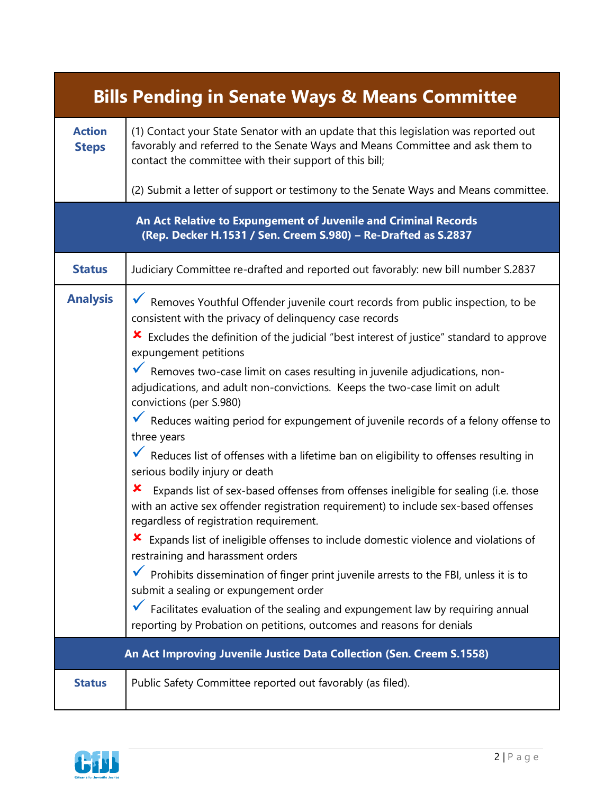| <b>Bills Pending in Senate Ways &amp; Means Committee</b>                                                                         |                                                                                                                                                                                                                                                                                                                                                                                                                                                                                                                                                                                                                                                                                                                                                                                                                                                                                                                                                                                                                                                                                                                                                                                                                                                                                                                                                                |  |  |
|-----------------------------------------------------------------------------------------------------------------------------------|----------------------------------------------------------------------------------------------------------------------------------------------------------------------------------------------------------------------------------------------------------------------------------------------------------------------------------------------------------------------------------------------------------------------------------------------------------------------------------------------------------------------------------------------------------------------------------------------------------------------------------------------------------------------------------------------------------------------------------------------------------------------------------------------------------------------------------------------------------------------------------------------------------------------------------------------------------------------------------------------------------------------------------------------------------------------------------------------------------------------------------------------------------------------------------------------------------------------------------------------------------------------------------------------------------------------------------------------------------------|--|--|
| <b>Action</b><br><b>Steps</b>                                                                                                     | (1) Contact your State Senator with an update that this legislation was reported out<br>favorably and referred to the Senate Ways and Means Committee and ask them to<br>contact the committee with their support of this bill;                                                                                                                                                                                                                                                                                                                                                                                                                                                                                                                                                                                                                                                                                                                                                                                                                                                                                                                                                                                                                                                                                                                                |  |  |
|                                                                                                                                   | (2) Submit a letter of support or testimony to the Senate Ways and Means committee.                                                                                                                                                                                                                                                                                                                                                                                                                                                                                                                                                                                                                                                                                                                                                                                                                                                                                                                                                                                                                                                                                                                                                                                                                                                                            |  |  |
| An Act Relative to Expungement of Juvenile and Criminal Records<br>(Rep. Decker H.1531 / Sen. Creem S.980) - Re-Drafted as S.2837 |                                                                                                                                                                                                                                                                                                                                                                                                                                                                                                                                                                                                                                                                                                                                                                                                                                                                                                                                                                                                                                                                                                                                                                                                                                                                                                                                                                |  |  |
| <b>Status</b>                                                                                                                     | Judiciary Committee re-drafted and reported out favorably: new bill number S.2837                                                                                                                                                                                                                                                                                                                                                                                                                                                                                                                                                                                                                                                                                                                                                                                                                                                                                                                                                                                                                                                                                                                                                                                                                                                                              |  |  |
| <b>Analysis</b>                                                                                                                   | ▼ Removes Youthful Offender juvenile court records from public inspection, to be<br>consistent with the privacy of delinquency case records<br>★ Excludes the definition of the judicial "best interest of justice" standard to approve<br>expungement petitions<br>▼ Removes two-case limit on cases resulting in juvenile adjudications, non-<br>adjudications, and adult non-convictions. Keeps the two-case limit on adult<br>convictions (per S.980)<br>▼ Reduces waiting period for expungement of juvenile records of a felony offense to<br>three years<br>▼ Reduces list of offenses with a lifetime ban on eligibility to offenses resulting in<br>serious bodily injury or death<br>x<br>Expands list of sex-based offenses from offenses ineligible for sealing (i.e. those<br>with an active sex offender registration requirement) to include sex-based offenses<br>regardless of registration requirement.<br>★ Expands list of ineligible offenses to include domestic violence and violations of<br>restraining and harassment orders<br>$\checkmark$ Prohibits dissemination of finger print juvenile arrests to the FBI, unless it is to<br>submit a sealing or expungement order<br>Facilitates evaluation of the sealing and expungement law by requiring annual<br>reporting by Probation on petitions, outcomes and reasons for denials |  |  |
|                                                                                                                                   | An Act Improving Juvenile Justice Data Collection (Sen. Creem S.1558)                                                                                                                                                                                                                                                                                                                                                                                                                                                                                                                                                                                                                                                                                                                                                                                                                                                                                                                                                                                                                                                                                                                                                                                                                                                                                          |  |  |
| <b>Status</b>                                                                                                                     | Public Safety Committee reported out favorably (as filed).                                                                                                                                                                                                                                                                                                                                                                                                                                                                                                                                                                                                                                                                                                                                                                                                                                                                                                                                                                                                                                                                                                                                                                                                                                                                                                     |  |  |

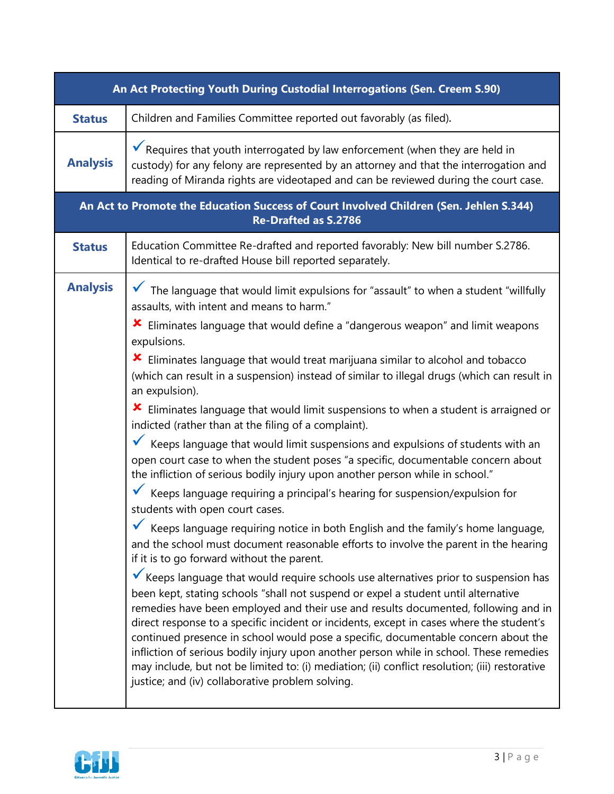| An Act Protecting Youth During Custodial Interrogations (Sen. Creem S.90)                                             |                                                                                                                                                                                                                                                                                                                                                                                                                                                                                                                                                                                                                                                                                                   |  |  |  |
|-----------------------------------------------------------------------------------------------------------------------|---------------------------------------------------------------------------------------------------------------------------------------------------------------------------------------------------------------------------------------------------------------------------------------------------------------------------------------------------------------------------------------------------------------------------------------------------------------------------------------------------------------------------------------------------------------------------------------------------------------------------------------------------------------------------------------------------|--|--|--|
| <b>Status</b>                                                                                                         | Children and Families Committee reported out favorably (as filed).                                                                                                                                                                                                                                                                                                                                                                                                                                                                                                                                                                                                                                |  |  |  |
| <b>Analysis</b>                                                                                                       | $\checkmark$ Requires that youth interrogated by law enforcement (when they are held in<br>custody) for any felony are represented by an attorney and that the interrogation and<br>reading of Miranda rights are videotaped and can be reviewed during the court case.                                                                                                                                                                                                                                                                                                                                                                                                                           |  |  |  |
| An Act to Promote the Education Success of Court Involved Children (Sen. Jehlen S.344)<br><b>Re-Drafted as S.2786</b> |                                                                                                                                                                                                                                                                                                                                                                                                                                                                                                                                                                                                                                                                                                   |  |  |  |
| <b>Status</b>                                                                                                         | Education Committee Re-drafted and reported favorably: New bill number S.2786.<br>Identical to re-drafted House bill reported separately.                                                                                                                                                                                                                                                                                                                                                                                                                                                                                                                                                         |  |  |  |
| <b>Analysis</b>                                                                                                       | The language that would limit expulsions for "assault" to when a student "willfully<br>assaults, with intent and means to harm."                                                                                                                                                                                                                                                                                                                                                                                                                                                                                                                                                                  |  |  |  |
|                                                                                                                       | <b>X</b> Eliminates language that would define a "dangerous weapon" and limit weapons<br>expulsions.                                                                                                                                                                                                                                                                                                                                                                                                                                                                                                                                                                                              |  |  |  |
|                                                                                                                       | Eliminates language that would treat marijuana similar to alcohol and tobacco<br>(which can result in a suspension) instead of similar to illegal drugs (which can result in<br>an expulsion).                                                                                                                                                                                                                                                                                                                                                                                                                                                                                                    |  |  |  |
|                                                                                                                       | $\star$ Eliminates language that would limit suspensions to when a student is arraigned or<br>indicted (rather than at the filing of a complaint).                                                                                                                                                                                                                                                                                                                                                                                                                                                                                                                                                |  |  |  |
|                                                                                                                       | $\checkmark$ Keeps language that would limit suspensions and expulsions of students with an<br>open court case to when the student poses "a specific, documentable concern about<br>the infliction of serious bodily injury upon another person while in school."                                                                                                                                                                                                                                                                                                                                                                                                                                 |  |  |  |
|                                                                                                                       | Keeps language requiring a principal's hearing for suspension/expulsion for<br>students with open court cases.                                                                                                                                                                                                                                                                                                                                                                                                                                                                                                                                                                                    |  |  |  |
|                                                                                                                       | Keeps language requiring notice in both English and the family's home language,<br>and the school must document reasonable efforts to involve the parent in the hearing<br>if it is to go forward without the parent.                                                                                                                                                                                                                                                                                                                                                                                                                                                                             |  |  |  |
|                                                                                                                       | Keeps language that would require schools use alternatives prior to suspension has<br>been kept, stating schools "shall not suspend or expel a student until alternative<br>remedies have been employed and their use and results documented, following and in<br>direct response to a specific incident or incidents, except in cases where the student's<br>continued presence in school would pose a specific, documentable concern about the<br>infliction of serious bodily injury upon another person while in school. These remedies<br>may include, but not be limited to: (i) mediation; (ii) conflict resolution; (iii) restorative<br>justice; and (iv) collaborative problem solving. |  |  |  |

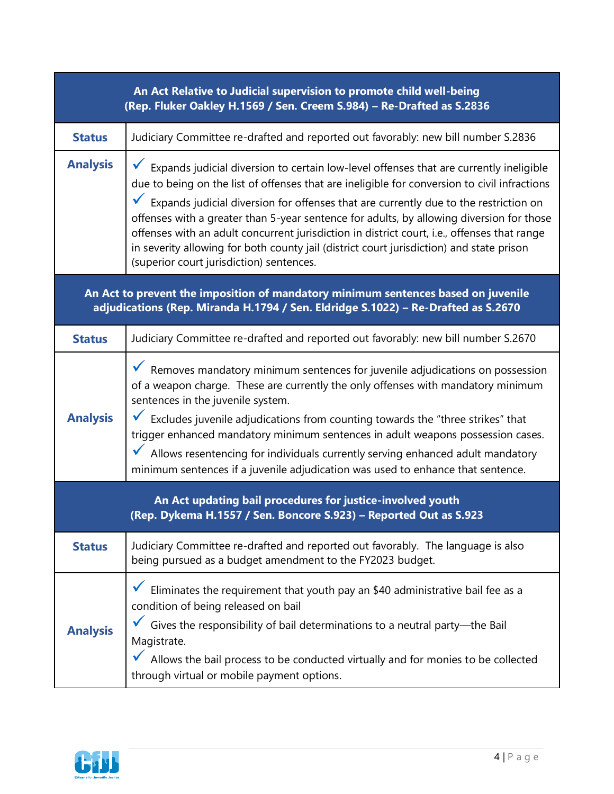| An Act Relative to Judicial supervision to promote child well-being<br>(Rep. Fluker Oakley H.1569 / Sen. Creem S.984) - Re-Drafted as S.2836                           |                                                                                                                                                                                                                                                                                                                                                                                                                                                                                                                                                                                                                                |  |
|------------------------------------------------------------------------------------------------------------------------------------------------------------------------|--------------------------------------------------------------------------------------------------------------------------------------------------------------------------------------------------------------------------------------------------------------------------------------------------------------------------------------------------------------------------------------------------------------------------------------------------------------------------------------------------------------------------------------------------------------------------------------------------------------------------------|--|
| <b>Status</b>                                                                                                                                                          | Judiciary Committee re-drafted and reported out favorably: new bill number S.2836                                                                                                                                                                                                                                                                                                                                                                                                                                                                                                                                              |  |
| <b>Analysis</b>                                                                                                                                                        | Expands judicial diversion to certain low-level offenses that are currently ineligible<br>due to being on the list of offenses that are ineligible for conversion to civil infractions<br>$\checkmark$ Expands judicial diversion for offenses that are currently due to the restriction on<br>offenses with a greater than 5-year sentence for adults, by allowing diversion for those<br>offenses with an adult concurrent jurisdiction in district court, i.e., offenses that range<br>in severity allowing for both county jail (district court jurisdiction) and state prison<br>(superior court jurisdiction) sentences. |  |
| An Act to prevent the imposition of mandatory minimum sentences based on juvenile<br>adjudications (Rep. Miranda H.1794 / Sen. Eldridge S.1022) - Re-Drafted as S.2670 |                                                                                                                                                                                                                                                                                                                                                                                                                                                                                                                                                                                                                                |  |
| <b>Status</b>                                                                                                                                                          | Judiciary Committee re-drafted and reported out favorably: new bill number S.2670                                                                                                                                                                                                                                                                                                                                                                                                                                                                                                                                              |  |
| <b>Analysis</b>                                                                                                                                                        | Removes mandatory minimum sentences for juvenile adjudications on possession<br>of a weapon charge. These are currently the only offenses with mandatory minimum<br>sentences in the juvenile system.<br>$\checkmark$ Excludes juvenile adjudications from counting towards the "three strikes" that<br>trigger enhanced mandatory minimum sentences in adult weapons possession cases.<br>Allows resentencing for individuals currently serving enhanced adult mandatory<br>minimum sentences if a juvenile adjudication was used to enhance that sentence.                                                                   |  |
| An Act updating bail procedures for justice-involved youth<br>(Rep. Dykema H.1557 / Sen. Boncore S.923) - Reported Out as S.923                                        |                                                                                                                                                                                                                                                                                                                                                                                                                                                                                                                                                                                                                                |  |
| <b>Status</b>                                                                                                                                                          | Judiciary Committee re-drafted and reported out favorably. The language is also<br>being pursued as a budget amendment to the FY2023 budget.                                                                                                                                                                                                                                                                                                                                                                                                                                                                                   |  |
| <b>Analysis</b>                                                                                                                                                        | Eliminates the requirement that youth pay an \$40 administrative bail fee as a<br>condition of being released on bail<br>Gives the responsibility of bail determinations to a neutral party-the Bail<br>Magistrate.<br>Allows the bail process to be conducted virtually and for monies to be collected<br>through virtual or mobile payment options.                                                                                                                                                                                                                                                                          |  |

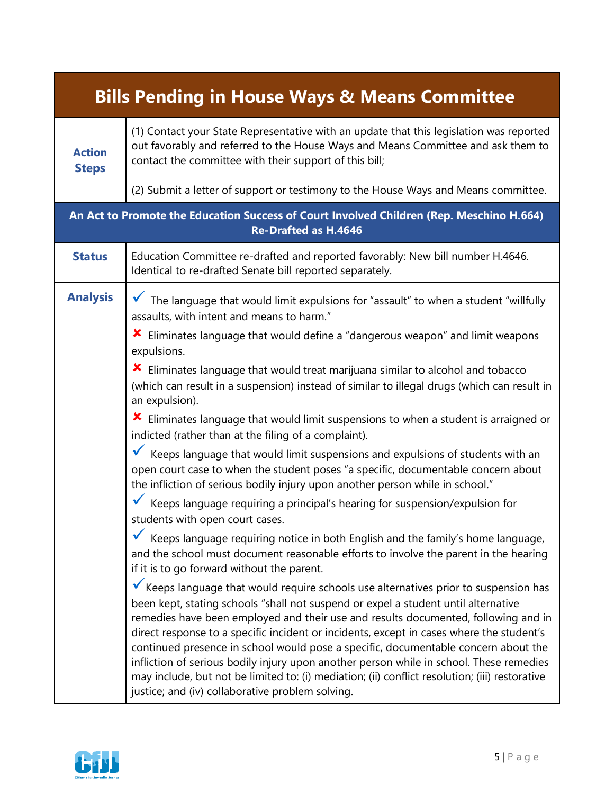| <b>Bills Pending in House Ways &amp; Means Committee</b>                                                                |                                                                                                                                                                                                                                                                                                                                                                                                                                                                                                                                                                                                                                                                                                   |  |
|-------------------------------------------------------------------------------------------------------------------------|---------------------------------------------------------------------------------------------------------------------------------------------------------------------------------------------------------------------------------------------------------------------------------------------------------------------------------------------------------------------------------------------------------------------------------------------------------------------------------------------------------------------------------------------------------------------------------------------------------------------------------------------------------------------------------------------------|--|
| <b>Action</b><br><b>Steps</b>                                                                                           | (1) Contact your State Representative with an update that this legislation was reported<br>out favorably and referred to the House Ways and Means Committee and ask them to<br>contact the committee with their support of this bill;                                                                                                                                                                                                                                                                                                                                                                                                                                                             |  |
|                                                                                                                         | (2) Submit a letter of support or testimony to the House Ways and Means committee.                                                                                                                                                                                                                                                                                                                                                                                                                                                                                                                                                                                                                |  |
| An Act to Promote the Education Success of Court Involved Children (Rep. Meschino H.664)<br><b>Re-Drafted as H.4646</b> |                                                                                                                                                                                                                                                                                                                                                                                                                                                                                                                                                                                                                                                                                                   |  |
| <b>Status</b>                                                                                                           | Education Committee re-drafted and reported favorably: New bill number H.4646.<br>Identical to re-drafted Senate bill reported separately.                                                                                                                                                                                                                                                                                                                                                                                                                                                                                                                                                        |  |
| <b>Analysis</b>                                                                                                         | The language that would limit expulsions for "assault" to when a student "willfully<br>assaults, with intent and means to harm."                                                                                                                                                                                                                                                                                                                                                                                                                                                                                                                                                                  |  |
|                                                                                                                         | Eliminates language that would define a "dangerous weapon" and limit weapons<br>x<br>expulsions.                                                                                                                                                                                                                                                                                                                                                                                                                                                                                                                                                                                                  |  |
|                                                                                                                         | Eliminates language that would treat marijuana similar to alcohol and tobacco<br>(which can result in a suspension) instead of similar to illegal drugs (which can result in<br>an expulsion).                                                                                                                                                                                                                                                                                                                                                                                                                                                                                                    |  |
|                                                                                                                         | Eliminates language that would limit suspensions to when a student is arraigned or<br>x<br>indicted (rather than at the filing of a complaint).                                                                                                                                                                                                                                                                                                                                                                                                                                                                                                                                                   |  |
|                                                                                                                         | Keeps language that would limit suspensions and expulsions of students with an<br>open court case to when the student poses "a specific, documentable concern about<br>the infliction of serious bodily injury upon another person while in school."                                                                                                                                                                                                                                                                                                                                                                                                                                              |  |
|                                                                                                                         | Keeps language requiring a principal's hearing for suspension/expulsion for<br>students with open court cases.                                                                                                                                                                                                                                                                                                                                                                                                                                                                                                                                                                                    |  |
|                                                                                                                         | Keeps language requiring notice in both English and the family's home language,<br>and the school must document reasonable efforts to involve the parent in the hearing<br>if it is to go forward without the parent.                                                                                                                                                                                                                                                                                                                                                                                                                                                                             |  |
|                                                                                                                         | Keeps language that would require schools use alternatives prior to suspension has<br>been kept, stating schools "shall not suspend or expel a student until alternative<br>remedies have been employed and their use and results documented, following and in<br>direct response to a specific incident or incidents, except in cases where the student's<br>continued presence in school would pose a specific, documentable concern about the<br>infliction of serious bodily injury upon another person while in school. These remedies<br>may include, but not be limited to: (i) mediation; (ii) conflict resolution; (iii) restorative<br>justice; and (iv) collaborative problem solving. |  |